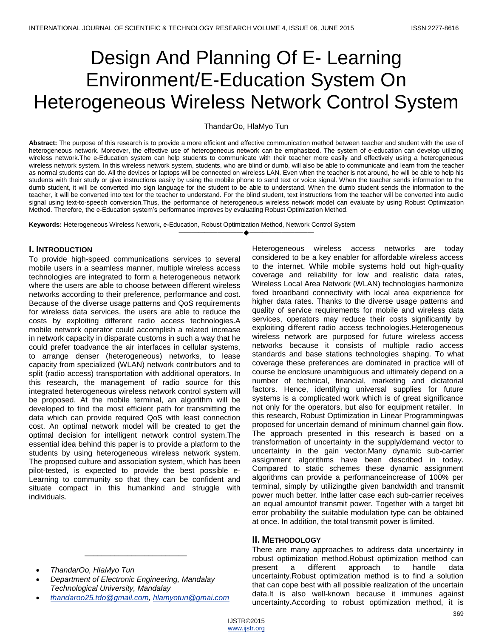# Design And Planning Of E- Learning Environment/E-Education System On Heterogeneous Wireless Network Control System

ThandarOo, HlaMyo Tun

**Abstract:** The purpose of this research is to provide a more efficient and effective communication method between teacher and student with the use of heterogeneous network. Moreover, the effective use of heterogeneous network can be emphasized. The system of e-education can develop utilizing wireless network.The e-Education system can help students to communicate with their teacher more easily and effectively using a heterogeneous wireless network system. In this wireless network system, students, who are blind or dumb, will also be able to communicate and learn from the teacher as normal students can do. All the devices or laptops will be connected on wireless LAN. Even when the teacher is not around, he will be able to help his students with their study or give instructions easily by using the mobile phone to send text or voice signal. When the teacher sends information to the dumb student, it will be converted into sign language for the student to be able to understand. When the dumb student sends the information to the teacher, it will be converted into text for the teacher to understand. For the blind student, text instructions from the teacher will be converted into audio signal using text-to-speech conversion.Thus, the performance of heterogeneous wireless network model can evaluate by using Robust Optimization Method. Therefore, the e-Education system's performance improves by evaluating Robust Optimization Method.

————————————————————

**Keywords:** Heterogeneous Wireless Network, e-Education, Robust Optimization Method, Network Control System

## **I. INTRODUCTION**

To provide high-speed communications services to several mobile users in a seamless manner, multiple wireless access technologies are integrated to form a heterogeneous network where the users are able to choose between different wireless networks according to their preference, performance and cost. Because of the diverse usage patterns and QoS requirements for wireless data services, the users are able to reduce the costs by exploiting different radio access technologies.A mobile network operator could accomplish a related increase in network capacity in disparate customs in such a way that he could prefer toadvance the air interfaces in cellular systems, to arrange denser (heterogeneous) networks, to lease capacity from specialized (WLAN) network contributors and to split (radio access) transportation with additional operators. In this research, the management of radio source for this integrated heterogeneous wireless network control system will be proposed. At the mobile terminal, an algorithm will be developed to find the most efficient path for transmitting the data which can provide required QoS with least connection cost. An optimal network model will be created to get the optimal decision for intelligent network control system.The essential idea behind this paper is to provide a platform to the students by using heterogeneous wireless network system. The proposed culture and association system, which has been pilot-tested, is expected to provide the best possible e-Learning to community so that they can be confident and situate compact in this humankind and struggle with individuals.

Heterogeneous wireless access networks are today considered to be a key enabler for affordable wireless access to the internet. While mobile systems hold out high-quality coverage and reliability for low and realistic data rates, Wireless Local Area Network (WLAN) technologies harmonize fixed broadband connectivity with local area experience for higher data rates. Thanks to the diverse usage patterns and quality of service requirements for mobile and wireless data services, operators may reduce their costs significantly by exploiting different radio access technologies.Heterogeneous wireless network are purposed for future wireless access networks because it consists of multiple radio access standards and base stations technologies shaping. To what coverage these preferences are dominated in practice will of course be enclosure unambiguous and ultimately depend on a number of technical, financial, marketing and dictatorial factors. Hence, identifying universal supplies for future systems is a complicated work which is of great significance not only for the operators, but also for equipment retailer. In this research, Robust Optimization in Linear Programmingwas proposed for uncertain demand of minimum channel gain flow. The approach presented in this research is based on a transformation of uncertainty in the supply/demand vector to uncertainty in the gain vector.Many dynamic sub-carrier assignment algorithms have been described in today. Compared to static schemes these dynamic assignment algorithms can provide a performanceincrease of 100% per terminal, simply by utilizingthe given bandwidth and transmit power much better. Inthe latter case each sub-carrier receives an equal amountof transmit power. Together with a target bit error probability the suitable modulation type can be obtained at once. In addition, the total transmit power is limited.

## **II. METHODOLOGY**

There are many approaches to address data uncertainty in robust optimization method.Robust optimization method can present a different approach to handle data uncertainty.Robust optimization method is to find a solution that can cope best with all possible realization of the uncertain data.It is also well-known because it immunes against uncertainty.According to robust optimization method, it is

- *ThandarOo, HlaMyo Tun*
- *Department of Electronic Engineering, Mandalay Technological University, Mandalay*
- *[thandaroo25.tdo@gmail.com,](mailto:thandaroo25.tdo@gmail.com) [hlamyotun@gmai.com](mailto:hlamyotun@gmai.com)*

\_\_\_\_\_\_\_\_\_\_\_\_\_\_\_\_\_\_\_\_\_\_\_\_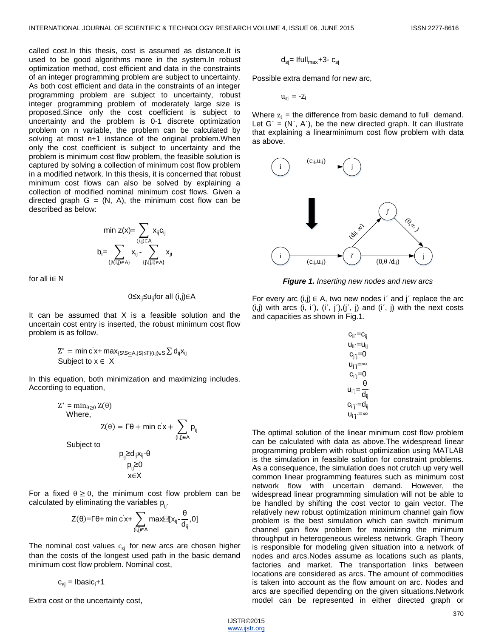called cost.In this thesis, cost is assumed as distance.It is used to be good algorithms more in the system.In robust optimization method, cost efficient and data in the constraints of an integer programming problem are subject to uncertainty. As both cost efficient and data in the constraints of an integer programming problem are subject to uncertainty, robust integer programming problem of moderately large size is proposed.Since only the cost coefficient is subject to uncertainty and the problem is 0-1 discrete optimization problem on n variable, the problem can be calculated by solving at most n+1 instance of the original problem. When only the cost coefficient is subject to uncertainty and the problem is minimum cost flow problem, the feasible solution is captured by solving a collection of minimum cost flow problem in a modified network. In this thesis, it is concerned that robust minimum cost flows can also be solved by explaining a collection of modified nominal minimum cost flows. Given a directed graph  $G = (N, A)$ , the minimum cost flow can be described as below:

$$
\text{min } z(x) \text{= } \sum_{(i,j) \in A} x_{ij} c_{ij} \\ b_i \text{= } \sum_{\{j \setminus (i,j) \in A\}} x_{ij} \cdot \sum_{\{j \setminus (j,i) \in A\}} x_{ji}
$$

for all i∈ N

### 0≤x<sub>ij</sub>≤u<sub>ij</sub>for all (i,j)∈A

It can be assumed that  $X$  is a feasible solution and the uncertain cost entry is inserted, the robust minimum cost flow problem is as follow.

$$
Z^* = \text{min } c'x + \text{max}_{\{S \mid S \subseteq A, |S| \le \Gamma\}(i,j) \in S} \, \Sigma \, d_{ij} x_{ij}
$$
  
Subject to  $x \in X$ 

In this equation, both minimization and maximizing includes. According to equation,

$$
Z^* = \min_{\theta \ge 0} Z(\theta)
$$
  
Where,  

$$
Z(\theta) = \Gamma \theta + \min_{\substack{c \in X \\ (i,j) \in A}} \sum_{\substack{p_{ij} \\ (i,j) \in A}} p_{ij}
$$
  
Subject to  

$$
p_{ij} \ge d_{ij} x_{ij} \cdot \theta
$$

$$
p_{ij} \ge 0
$$

For a fixed  $\theta \geq 0$ , the minimum cost flow problem can be calculated by eliminating the variables  $p_{\ldots}$ .

x∈X

$$
Z(\theta) {=} \Gamma \theta {+} \min c' x {+} \sum_{(i,j) \in A} \max \text{max}[\textbf{x}_{ij} {-} \frac{\theta}{d_{ij}}, 0]
$$

The nominal cost values  $c_{si}$  for new arcs are chosen higher than the costs of the longest used path in the basic demand minimum cost flow problem. Nominal cost,

 $c_{si}$  = Ibasic<sub>i</sub>+1

Extra cost or the uncertainty cost,

$$
d_{sj} = \text{Ifull}_{max} + 3 - c_{sj}
$$

Possible extra demand for new arc,

 $u_{si} = -z_i$ 

Where  $z_i$  = the difference from basic demand to full demand. Let  $G' = (N', A')$ , be the new directed graph. It can illustrate that explaining a linearminimum cost flow problem with data as above.



*Figure 1. Inserting new nodes and new arcs*

For every arc  $(i,j) \in A$ , two new nodes i' and j' replace the arc  $(i,j)$  with arcs  $(i, i'), (i', j'), (j', j)$  and  $(i', j)$  with the next costs and capacities as shown in Fig.1.

$$
\begin{aligned} c_{ii'}=&c_{ij}\\ u_{ii'}=&u_{ij}\\ c_{j'j}=&0\\ u_{j'j}=&\infty\\ u_{i'j}=&\frac{\theta}{d_{ij}}\\ c_{i'j'}=&d_{ij}\\ u_{i'j'}=&\infty \end{aligned}
$$

The optimal solution of the linear minimum cost flow problem can be calculated with data as above.The widespread linear programming problem with robust optimization using MATLAB is the simulation in feasible solution for constraint problems. As a consequence, the simulation does not crutch up very well common linear programming features such as minimum cost network flow with uncertain demand. However, the widespread linear programming simulation will not be able to be handled by shifting the cost vector to gain vector. The relatively new robust optimization minimum channel gain flow problem is the best simulation which can switch minimum channel gain flow problem for maximizing the minimum throughput in heterogeneous wireless network. Graph Theory is responsible for modeling given situation into a network of nodes and arcs.Nodes assume as locations such as plants, factories and market. The transportation links between locations are considered as arcs. The amount of commodities is taken into account as the flow amount on arc. Nodes and arcs are specified depending on the given situations.Network model can be represented in either directed graph or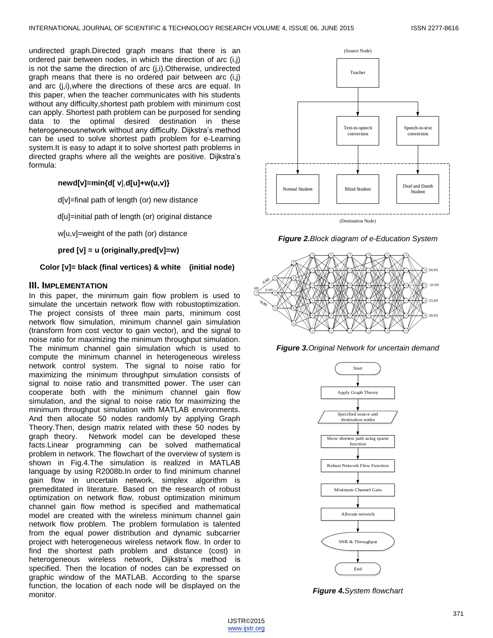undirected graph.Directed graph means that there is an ordered pair between nodes, in which the direction of arc (i,j) is not the same the direction of arc (j,i).Otherwise, undirected graph means that there is no ordered pair between arc (i,j) and arc (j,i),where the directions of these arcs are equal. In this paper, when the teacher communicates with his students without any difficulty,shortest path problem with minimum cost can apply. Shortest path problem can be purposed for sending data to the optimal desired destination in these heterogeneousnetwork without any difficulty. Dijkstra's method can be used to solve shortest path problem for e-Learning system.It is easy to adapt it to solve shortest path problems in directed graphs where all the weights are positive. Dijkstra's formula:

#### **newd[v]=min{d[ v**],**d[u]+w(u,v)}**

d[v]=final path of length (or) new distance

d[u]=initial path of length (or) original distance

w[u,v]=weight of the path (or) distance

**pred [v] = u (originally,pred[v]=w)**

**Color [v]= black (final vertices) & white (initial node)**

#### **III. IMPLEMENTATION**

In this paper, the minimum gain flow problem is used to simulate the uncertain network flow with robustoptimization. The project consists of three main parts, minimum cost network flow simulation, minimum channel gain simulation (transform from cost vector to gain vector), and the signal to noise ratio for maximizing the minimum throughput simulation. The minimum channel gain simulation which is used to compute the minimum channel in heterogeneous wireless network control system. The signal to noise ratio for maximizing the minimum throughput simulation consists of signal to noise ratio and transmitted power. The user can cooperate both with the minimum channel gain flow simulation, and the signal to noise ratio for maximizing the minimum throughput simulation with MATLAB environments. And then allocate 50 nodes randomly by applying Graph Theory.Then, design matrix related with these 50 nodes by graph theory. Network model can be developed these facts.Linear programming can be solved mathematical problem in network. The flowchart of the overview of system is shown in Fig.4.The simulation is realized in MATLAB language by using R2008b.In order to find minimum channel gain flow in uncertain network, simplex algorithm is premeditated in literature. Based on the research of robust optimization on network flow, robust optimization minimum channel gain flow method is specified and mathematical model are created with the wireless minimum channel gain network flow problem. The problem formulation is talented from the equal power distribution and dynamic subcarrier project with heterogeneous wireless network flow. In order to find the shortest path problem and distance (cost) in heterogeneous wireless network, Dijkstra's method is specified. Then the location of nodes can be expressed on graphic window of the MATLAB. According to the sparse function, the location of each node will be displayed on the monitor.



*Figure 2.Block diagram of e-Education System*







*Figure 4.System flowchart*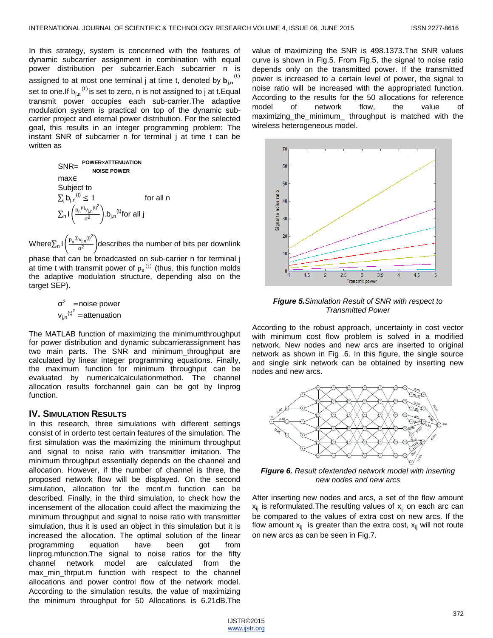In this strategy, system is concerned with the features of dynamic subcarrier assignment in combination with equal power distribution per subcarrier.Each subcarrier n is assigned to at most one terminal j at time t, denoted by  $\mathbf{b_{j,n}}^{(t)}$ set to one.If  $b_{j,n}^{(t)}$ is set to zero, n is not assigned to j at t.Equal transmit power occupies each sub-carrier.The adaptive modulation system is practical on top of the dynamic subcarrier project and eternal power distribution. For the selected goal, this results in an integer programming problem: The instant SNR of subcarrier n for terminal j at time t can be written as

> SNR= **POWER×ATTENUATION NOISE POWER** max∈ Subject to  $\sum_{i} b_{i,n}^{(t)} \leq 1$  for all n  $\sum_{n} \left| \frac{p_n^{(t)} v_{j,n}^{(t)}}{\sigma^2} \right|$  $\frac{d_{j,n}^{(v)}}{d^2}$ ).b<sub>j,n</sub><sup>(t)</sup>for all j

Where $\sum_{n}$  I  $\left(\frac{p_{n}^{(t)}v_{j,n}^{(t)^{2}}}{\sigma^{2}}\right)$  $\frac{d_{\text{Ln}}}{d^2}$  describes the number of bits per downlink phase that can be broadcasted on sub-carrier n for terminal j at time t with transmit power of  $p_n^{(t)}$  (thus, this function molds the adaptive modulation structure, depending also on the target SEP).

> $\sigma^2$  =noise power  $v_{j,n}$ <sup>(t)<sup>2</sup></sup> =attenuation

The MATLAB function of maximizing the minimumthroughput for power distribution and dynamic subcarrierassignment has two main parts. The SNR and minimum\_throughput are calculated by linear integer programming equations. Finally, the maximum function for minimum throughput can be evaluated by numericalcalculationmethod. The channel allocation results forchannel gain can be got by linprog function.

# **IV. SIMULATION RESULTS**

In this research, three simulations with different settings consist of in orderto test certain features of the simulation. The first simulation was the maximizing the minimum throughput and signal to noise ratio with transmitter imitation. The minimum throughput essentially depends on the channel and allocation. However, if the number of channel is three, the proposed network flow will be displayed. On the second simulation, allocation for the mcnf.m function can be described. Finally, in the third simulation, to check how the incensement of the allocation could affect the maximizing the minimum throughput and signal to noise ratio with transmitter simulation, thus it is used an object in this simulation but it is increased the allocation. The optimal solution of the linear programming equation have been got from linprog.mfunction.The signal to noise ratios for the fifty channel network model are calculated from the max min thrput.m function with respect to the channel allocations and power control flow of the network model. According to the simulation results, the value of maximizing the minimum throughput for 50 Allocations is 6.21dB.The value of maximizing the SNR is 498.1373.The SNR values curve is shown in Fig.5. From Fig.5, the signal to noise ratio depends only on the transmitted power. If the transmitted power is increased to a certain level of power, the signal to noise ratio will be increased with the appropriated function. According to the results for the 50 allocations for reference model of network flow, the value of maximizing\_the\_minimum\_ throughput is matched with the wireless heterogeneous model.



*Figure 5.Simulation Result of SNR with respect to Transmitted Power*

According to the robust approach, uncertainty in cost vector with minimum cost flow problem is solved in a modified network. New nodes and new arcs are inserted to original network as shown in Fig .6. In this figure, the single source and single sink network can be obtained by inserting new nodes and new arcs.



*Figure 6. Result ofextended network model with inserting new nodes and new arcs*

After inserting new nodes and arcs, a set of the flow amount  $x_{ii}$  is reformulated. The resulting values of  $x_{ii}$  on each arc can be compared to the values of extra cost on new arcs. If the flow amount  $x_{ij}$  is greater than the extra cost,  $x_{ij}$  will not route on new arcs as can be seen in Fig.7.